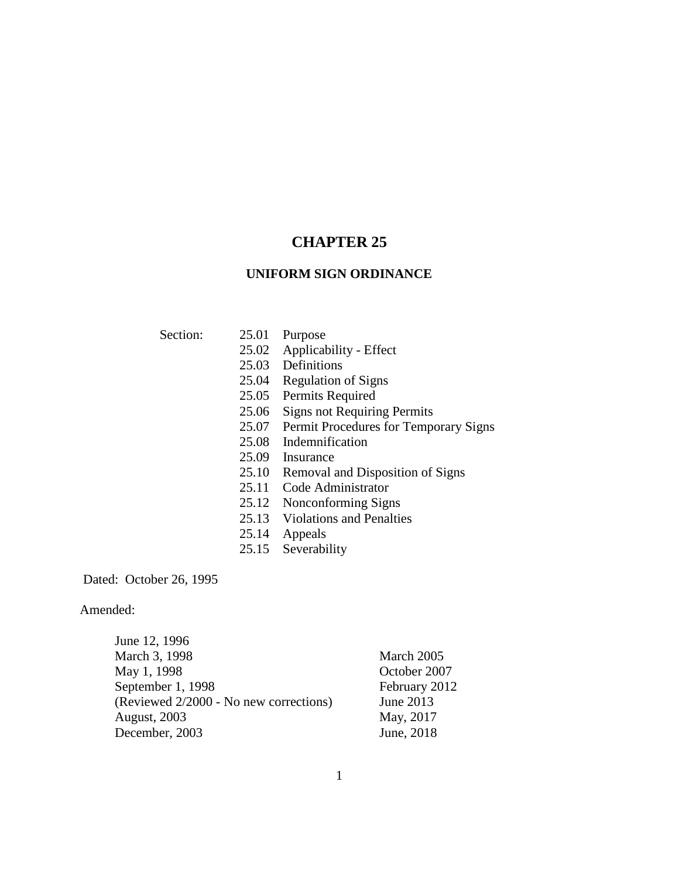# **CHAPTER 25**

## **UNIFORM SIGN ORDINANCE**

- Section: 25.01 Purpose
	- 25.02 Applicability Effect
	- 25.03 Definitions
	- 25.04 Regulation of Signs
	- 25.05 Permits Required
	- 25.06 Signs not Requiring Permits
	- 25.07 Permit Procedures for Temporary Signs
	- 25.08 Indemnification
	- 25.09 Insurance
	- 25.10 Removal and Disposition of Signs
	- 25.11 Code Administrator
	- 25.12 Nonconforming Signs
	- 25.13 Violations and Penalties
	- 25.14 Appeals
	- 25.15 Severability

Dated: October 26, 1995

Amended:

| June 12, 1996                          |               |
|----------------------------------------|---------------|
| March 3, 1998                          | March 2005    |
| May 1, 1998                            | October 2007  |
| September 1, 1998                      | February 2012 |
| (Reviewed 2/2000 - No new corrections) | June 2013     |
| <b>August, 2003</b>                    | May, 2017     |
| December, 2003                         | June, 2018    |

1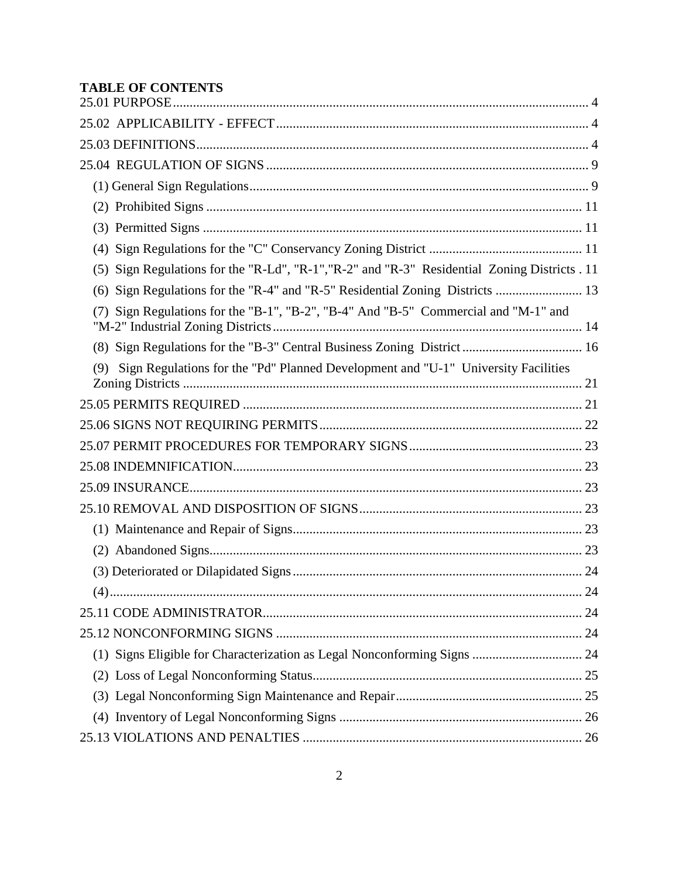# **TABLE OF CONTENTS**

| (5) | Sign Regulations for the "R-Ld", "R-1", "R-2" and "R-3" Residential Zoning Districts . 11 |    |
|-----|-------------------------------------------------------------------------------------------|----|
|     | (6) Sign Regulations for the "R-4" and "R-5" Residential Zoning Districts  13             |    |
|     | Sign Regulations for the "B-1", "B-2", "B-4" And "B-5" Commercial and "M-1" and           |    |
|     |                                                                                           |    |
| (9) | Sign Regulations for the "Pd" Planned Development and "U-1" University Facilities         |    |
|     |                                                                                           |    |
|     |                                                                                           |    |
|     |                                                                                           |    |
|     |                                                                                           |    |
|     |                                                                                           |    |
|     |                                                                                           |    |
|     |                                                                                           |    |
|     |                                                                                           |    |
|     |                                                                                           |    |
| (4) |                                                                                           | 24 |
|     |                                                                                           |    |
|     |                                                                                           |    |
|     | (1) Signs Eligible for Characterization as Legal Nonconforming Signs  24                  |    |
|     |                                                                                           |    |
|     |                                                                                           |    |
|     |                                                                                           |    |
|     |                                                                                           |    |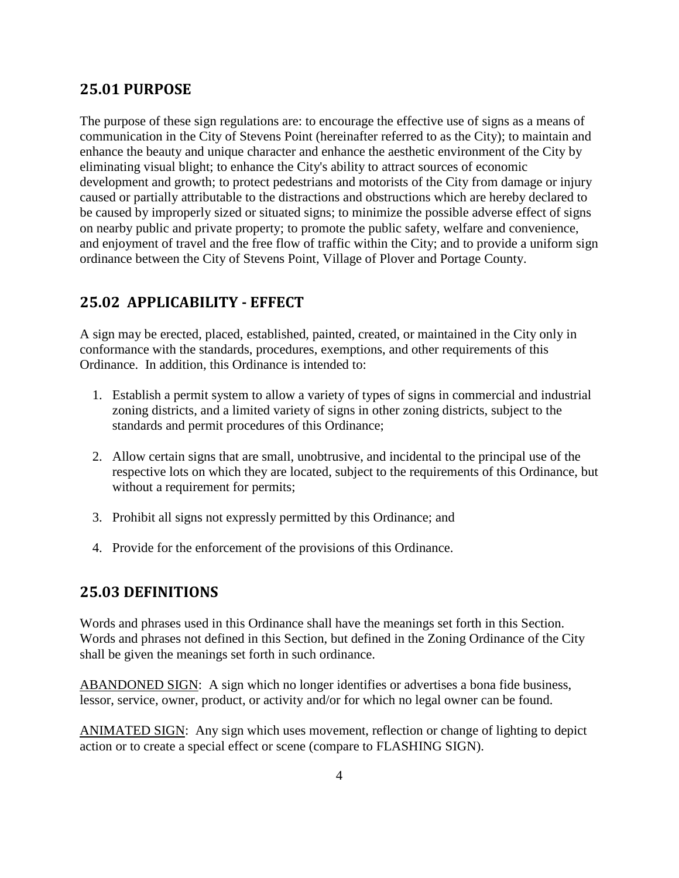# <span id="page-3-0"></span>**25.01 PURPOSE**

The purpose of these sign regulations are: to encourage the effective use of signs as a means of communication in the City of Stevens Point (hereinafter referred to as the City); to maintain and enhance the beauty and unique character and enhance the aesthetic environment of the City by eliminating visual blight; to enhance the City's ability to attract sources of economic development and growth; to protect pedestrians and motorists of the City from damage or injury caused or partially attributable to the distractions and obstructions which are hereby declared to be caused by improperly sized or situated signs; to minimize the possible adverse effect of signs on nearby public and private property; to promote the public safety, welfare and convenience, and enjoyment of travel and the free flow of traffic within the City; and to provide a uniform sign ordinance between the City of Stevens Point, Village of Plover and Portage County.

# <span id="page-3-1"></span>**25.02 APPLICABILITY - EFFECT**

A sign may be erected, placed, established, painted, created, or maintained in the City only in conformance with the standards, procedures, exemptions, and other requirements of this Ordinance. In addition, this Ordinance is intended to:

- 1. Establish a permit system to allow a variety of types of signs in commercial and industrial zoning districts, and a limited variety of signs in other zoning districts, subject to the standards and permit procedures of this Ordinance;
- 2. Allow certain signs that are small, unobtrusive, and incidental to the principal use of the respective lots on which they are located, subject to the requirements of this Ordinance, but without a requirement for permits;
- 3. Prohibit all signs not expressly permitted by this Ordinance; and
- <span id="page-3-2"></span>4. Provide for the enforcement of the provisions of this Ordinance.

## **25.03 DEFINITIONS**

Words and phrases used in this Ordinance shall have the meanings set forth in this Section. Words and phrases not defined in this Section, but defined in the Zoning Ordinance of the City shall be given the meanings set forth in such ordinance.

ABANDONED SIGN: A sign which no longer identifies or advertises a bona fide business, lessor, service, owner, product, or activity and/or for which no legal owner can be found.

ANIMATED SIGN: Any sign which uses movement, reflection or change of lighting to depict action or to create a special effect or scene (compare to FLASHING SIGN).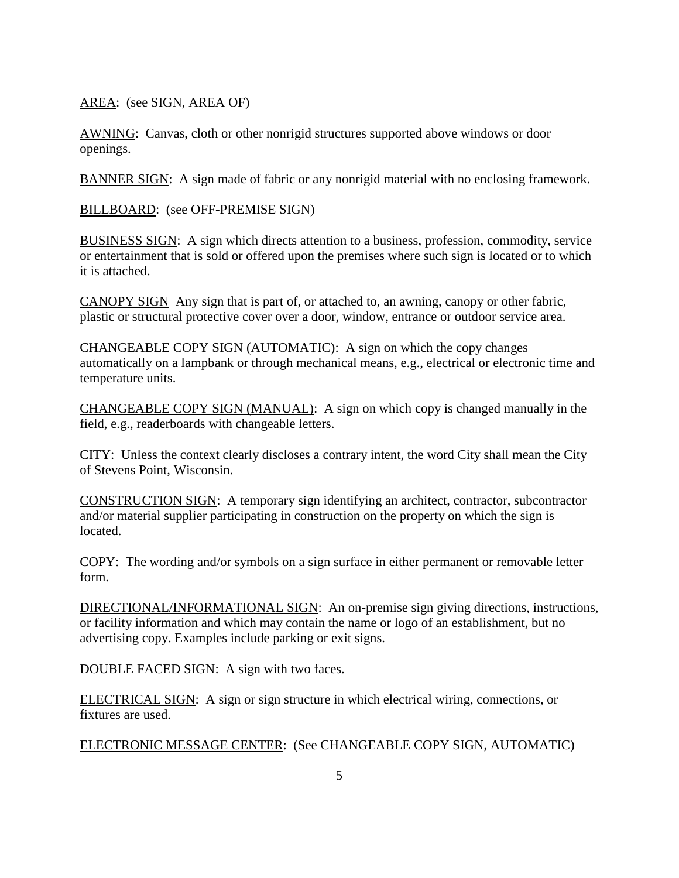AREA: (see SIGN, AREA OF)

AWNING: Canvas, cloth or other nonrigid structures supported above windows or door openings.

BANNER SIGN: A sign made of fabric or any nonrigid material with no enclosing framework.

BILLBOARD: (see OFF-PREMISE SIGN)

BUSINESS SIGN: A sign which directs attention to a business, profession, commodity, service or entertainment that is sold or offered upon the premises where such sign is located or to which it is attached.

CANOPY SIGN Any sign that is part of, or attached to, an awning, canopy or other fabric, plastic or structural protective cover over a door, window, entrance or outdoor service area.

CHANGEABLE COPY SIGN (AUTOMATIC): A sign on which the copy changes automatically on a lampbank or through mechanical means, e.g., electrical or electronic time and temperature units.

CHANGEABLE COPY SIGN (MANUAL): A sign on which copy is changed manually in the field, e.g., readerboards with changeable letters.

CITY: Unless the context clearly discloses a contrary intent, the word City shall mean the City of Stevens Point, Wisconsin.

CONSTRUCTION SIGN: A temporary sign identifying an architect, contractor, subcontractor and/or material supplier participating in construction on the property on which the sign is located.

COPY: The wording and/or symbols on a sign surface in either permanent or removable letter form.

DIRECTIONAL/INFORMATIONAL SIGN: An on-premise sign giving directions, instructions, or facility information and which may contain the name or logo of an establishment, but no advertising copy. Examples include parking or exit signs.

DOUBLE FACED SIGN: A sign with two faces.

ELECTRICAL SIGN: A sign or sign structure in which electrical wiring, connections, or fixtures are used.

ELECTRONIC MESSAGE CENTER: (See CHANGEABLE COPY SIGN, AUTOMATIC)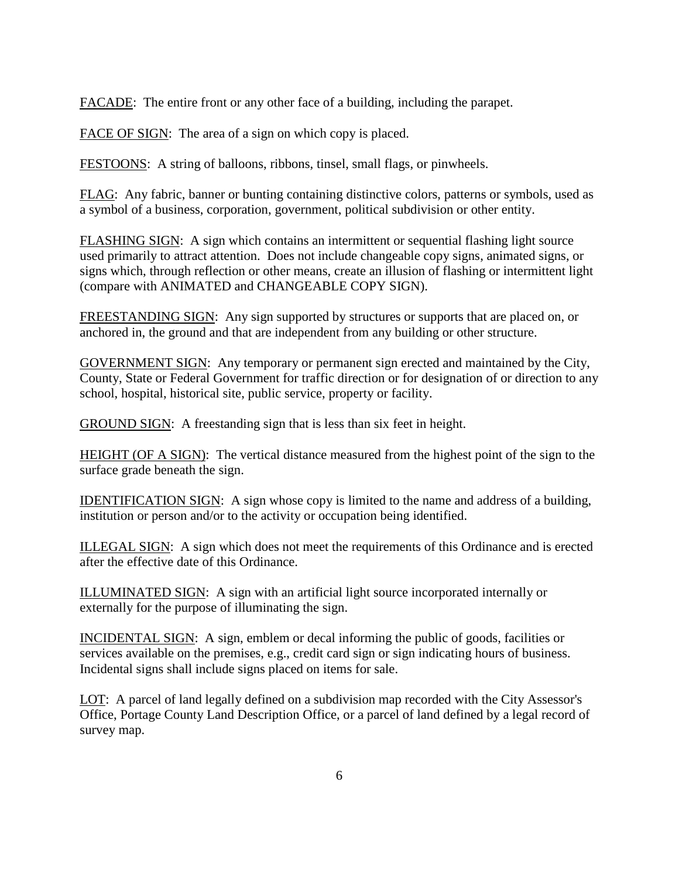FACADE: The entire front or any other face of a building, including the parapet.

FACE OF SIGN: The area of a sign on which copy is placed.

FESTOONS: A string of balloons, ribbons, tinsel, small flags, or pinwheels.

FLAG: Any fabric, banner or bunting containing distinctive colors, patterns or symbols, used as a symbol of a business, corporation, government, political subdivision or other entity.

FLASHING SIGN: A sign which contains an intermittent or sequential flashing light source used primarily to attract attention. Does not include changeable copy signs, animated signs, or signs which, through reflection or other means, create an illusion of flashing or intermittent light (compare with ANIMATED and CHANGEABLE COPY SIGN).

FREESTANDING SIGN: Any sign supported by structures or supports that are placed on, or anchored in, the ground and that are independent from any building or other structure.

GOVERNMENT SIGN: Any temporary or permanent sign erected and maintained by the City, County, State or Federal Government for traffic direction or for designation of or direction to any school, hospital, historical site, public service, property or facility.

GROUND SIGN: A freestanding sign that is less than six feet in height.

HEIGHT (OF A SIGN): The vertical distance measured from the highest point of the sign to the surface grade beneath the sign.

IDENTIFICATION SIGN: A sign whose copy is limited to the name and address of a building, institution or person and/or to the activity or occupation being identified.

ILLEGAL SIGN: A sign which does not meet the requirements of this Ordinance and is erected after the effective date of this Ordinance.

ILLUMINATED SIGN: A sign with an artificial light source incorporated internally or externally for the purpose of illuminating the sign.

INCIDENTAL SIGN: A sign, emblem or decal informing the public of goods, facilities or services available on the premises, e.g., credit card sign or sign indicating hours of business. Incidental signs shall include signs placed on items for sale.

LOT: A parcel of land legally defined on a subdivision map recorded with the City Assessor's Office, Portage County Land Description Office, or a parcel of land defined by a legal record of survey map.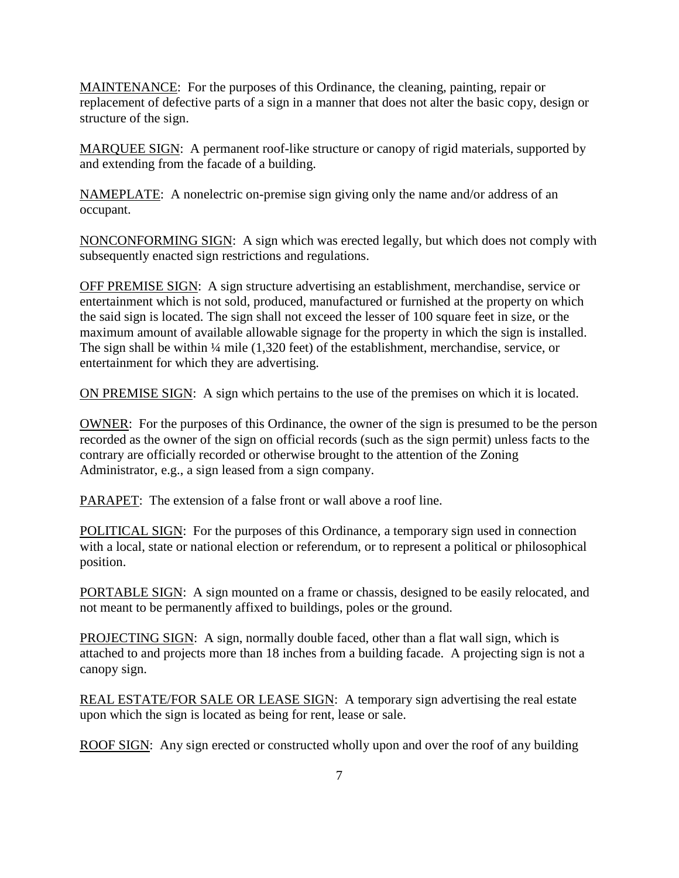MAINTENANCE: For the purposes of this Ordinance, the cleaning, painting, repair or replacement of defective parts of a sign in a manner that does not alter the basic copy, design or structure of the sign.

MARQUEE SIGN: A permanent roof-like structure or canopy of rigid materials, supported by and extending from the facade of a building.

NAMEPLATE: A nonelectric on-premise sign giving only the name and/or address of an occupant.

NONCONFORMING SIGN: A sign which was erected legally, but which does not comply with subsequently enacted sign restrictions and regulations.

OFF PREMISE SIGN: A sign structure advertising an establishment, merchandise, service or entertainment which is not sold, produced, manufactured or furnished at the property on which the said sign is located. The sign shall not exceed the lesser of 100 square feet in size, or the maximum amount of available allowable signage for the property in which the sign is installed. The sign shall be within ¼ mile (1,320 feet) of the establishment, merchandise, service, or entertainment for which they are advertising.

ON PREMISE SIGN: A sign which pertains to the use of the premises on which it is located.

OWNER: For the purposes of this Ordinance, the owner of the sign is presumed to be the person recorded as the owner of the sign on official records (such as the sign permit) unless facts to the contrary are officially recorded or otherwise brought to the attention of the Zoning Administrator, e.g., a sign leased from a sign company.

PARAPET: The extension of a false front or wall above a roof line.

POLITICAL SIGN: For the purposes of this Ordinance, a temporary sign used in connection with a local, state or national election or referendum, or to represent a political or philosophical position.

PORTABLE SIGN: A sign mounted on a frame or chassis, designed to be easily relocated, and not meant to be permanently affixed to buildings, poles or the ground.

PROJECTING SIGN: A sign, normally double faced, other than a flat wall sign, which is attached to and projects more than 18 inches from a building facade. A projecting sign is not a canopy sign.

REAL ESTATE/FOR SALE OR LEASE SIGN: A temporary sign advertising the real estate upon which the sign is located as being for rent, lease or sale.

ROOF SIGN: Any sign erected or constructed wholly upon and over the roof of any building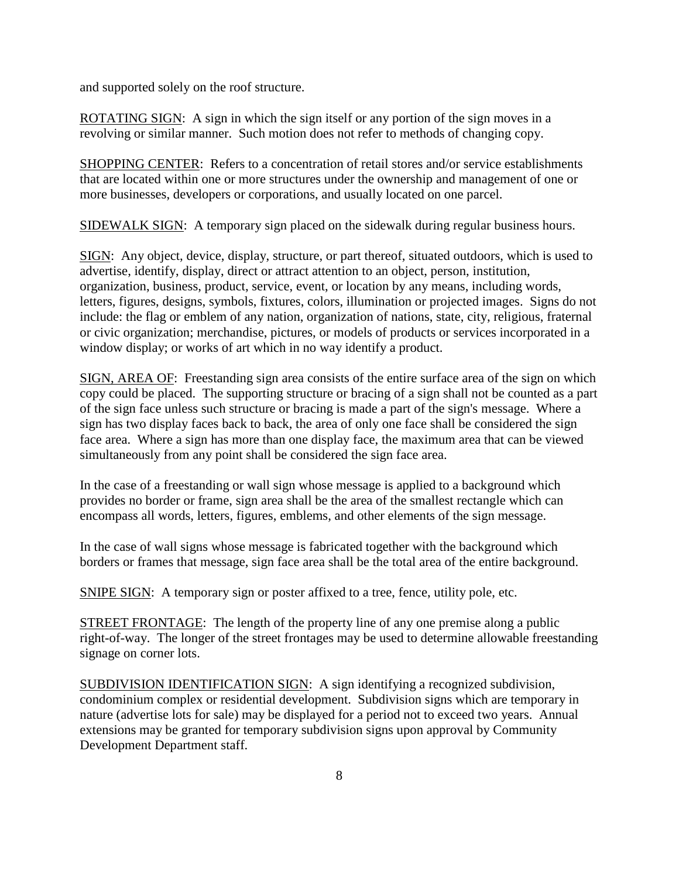and supported solely on the roof structure.

ROTATING SIGN: A sign in which the sign itself or any portion of the sign moves in a revolving or similar manner. Such motion does not refer to methods of changing copy.

SHOPPING CENTER: Refers to a concentration of retail stores and/or service establishments that are located within one or more structures under the ownership and management of one or more businesses, developers or corporations, and usually located on one parcel.

SIDEWALK SIGN: A temporary sign placed on the sidewalk during regular business hours.

SIGN: Any object, device, display, structure, or part thereof, situated outdoors, which is used to advertise, identify, display, direct or attract attention to an object, person, institution, organization, business, product, service, event, or location by any means, including words, letters, figures, designs, symbols, fixtures, colors, illumination or projected images. Signs do not include: the flag or emblem of any nation, organization of nations, state, city, religious, fraternal or civic organization; merchandise, pictures, or models of products or services incorporated in a window display; or works of art which in no way identify a product.

SIGN, AREA OF: Freestanding sign area consists of the entire surface area of the sign on which copy could be placed. The supporting structure or bracing of a sign shall not be counted as a part of the sign face unless such structure or bracing is made a part of the sign's message. Where a sign has two display faces back to back, the area of only one face shall be considered the sign face area. Where a sign has more than one display face, the maximum area that can be viewed simultaneously from any point shall be considered the sign face area.

In the case of a freestanding or wall sign whose message is applied to a background which provides no border or frame, sign area shall be the area of the smallest rectangle which can encompass all words, letters, figures, emblems, and other elements of the sign message.

In the case of wall signs whose message is fabricated together with the background which borders or frames that message, sign face area shall be the total area of the entire background.

SNIPE SIGN: A temporary sign or poster affixed to a tree, fence, utility pole, etc.

STREET FRONTAGE: The length of the property line of any one premise along a public right-of-way. The longer of the street frontages may be used to determine allowable freestanding signage on corner lots.

SUBDIVISION IDENTIFICATION SIGN: A sign identifying a recognized subdivision, condominium complex or residential development. Subdivision signs which are temporary in nature (advertise lots for sale) may be displayed for a period not to exceed two years. Annual extensions may be granted for temporary subdivision signs upon approval by Community Development Department staff.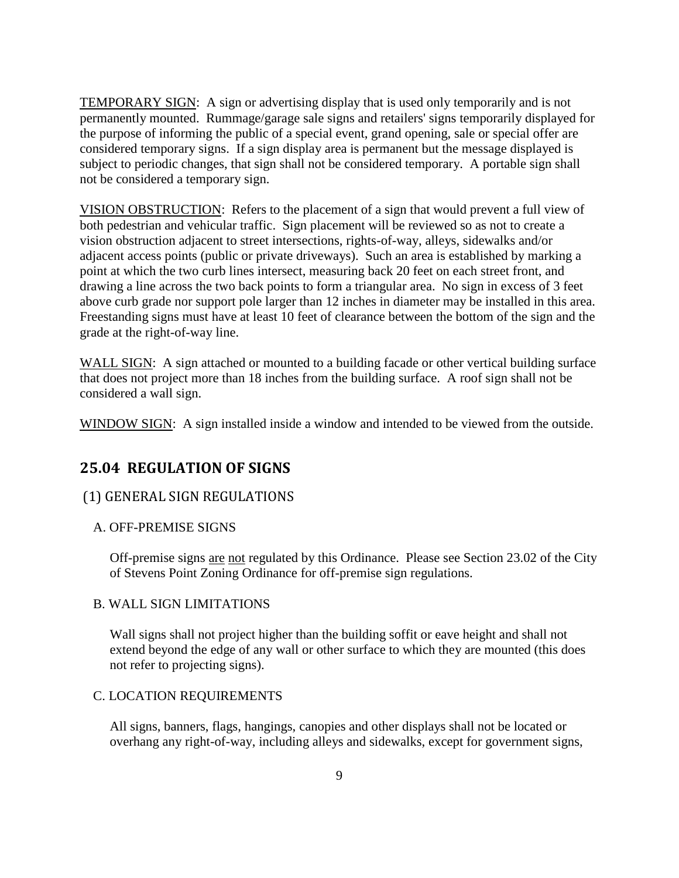TEMPORARY SIGN: A sign or advertising display that is used only temporarily and is not permanently mounted. Rummage/garage sale signs and retailers' signs temporarily displayed for the purpose of informing the public of a special event, grand opening, sale or special offer are considered temporary signs. If a sign display area is permanent but the message displayed is subject to periodic changes, that sign shall not be considered temporary. A portable sign shall not be considered a temporary sign.

VISION OBSTRUCTION: Refers to the placement of a sign that would prevent a full view of both pedestrian and vehicular traffic. Sign placement will be reviewed so as not to create a vision obstruction adjacent to street intersections, rights-of-way, alleys, sidewalks and/or adjacent access points (public or private driveways). Such an area is established by marking a point at which the two curb lines intersect, measuring back 20 feet on each street front, and drawing a line across the two back points to form a triangular area. No sign in excess of 3 feet above curb grade nor support pole larger than 12 inches in diameter may be installed in this area. Freestanding signs must have at least 10 feet of clearance between the bottom of the sign and the grade at the right-of-way line.

WALL SIGN: A sign attached or mounted to a building facade or other vertical building surface that does not project more than 18 inches from the building surface. A roof sign shall not be considered a wall sign.

<span id="page-8-0"></span>WINDOW SIGN: A sign installed inside a window and intended to be viewed from the outside.

# **25.04 REGULATION OF SIGNS**

## <span id="page-8-1"></span>(1) GENERAL SIGN REGULATIONS

#### A. OFF-PREMISE SIGNS

Off-premise signs are not regulated by this Ordinance. Please see Section 23.02 of the City of Stevens Point Zoning Ordinance for off-premise sign regulations.

## B. WALL SIGN LIMITATIONS

Wall signs shall not project higher than the building soffit or eave height and shall not extend beyond the edge of any wall or other surface to which they are mounted (this does not refer to projecting signs).

## C. LOCATION REQUIREMENTS

All signs, banners, flags, hangings, canopies and other displays shall not be located or overhang any right-of-way, including alleys and sidewalks, except for government signs,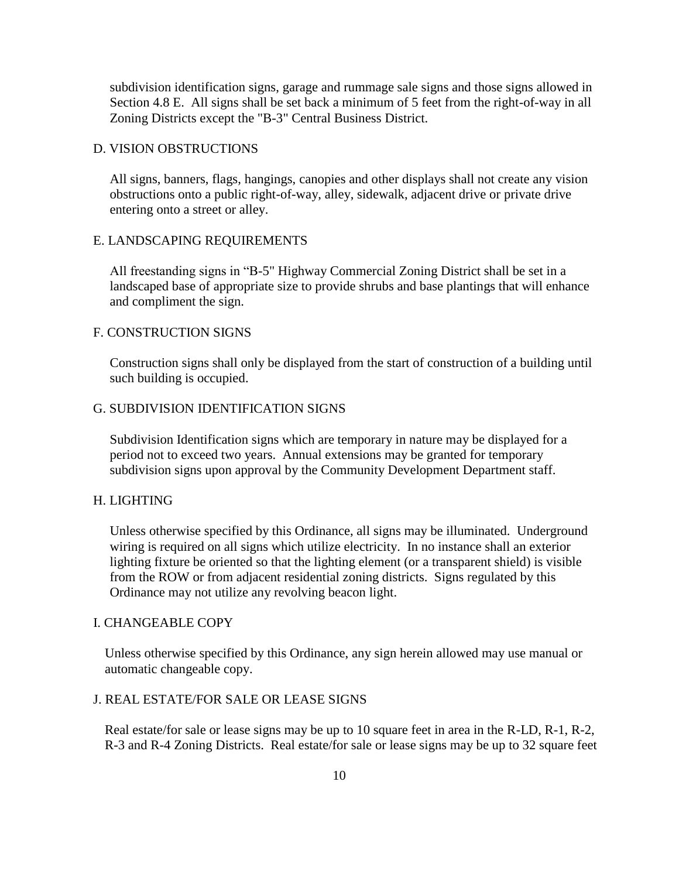subdivision identification signs, garage and rummage sale signs and those signs allowed in Section 4.8 E. All signs shall be set back a minimum of 5 feet from the right-of-way in all Zoning Districts except the "B-3" Central Business District.

## D. VISION OBSTRUCTIONS

All signs, banners, flags, hangings, canopies and other displays shall not create any vision obstructions onto a public right-of-way, alley, sidewalk, adjacent drive or private drive entering onto a street or alley.

#### E. LANDSCAPING REQUIREMENTS

All freestanding signs in "B-5" Highway Commercial Zoning District shall be set in a landscaped base of appropriate size to provide shrubs and base plantings that will enhance and compliment the sign.

#### F. CONSTRUCTION SIGNS

Construction signs shall only be displayed from the start of construction of a building until such building is occupied.

## G. SUBDIVISION IDENTIFICATION SIGNS

Subdivision Identification signs which are temporary in nature may be displayed for a period not to exceed two years. Annual extensions may be granted for temporary subdivision signs upon approval by the Community Development Department staff.

#### H. LIGHTING

Unless otherwise specified by this Ordinance, all signs may be illuminated. Underground wiring is required on all signs which utilize electricity. In no instance shall an exterior lighting fixture be oriented so that the lighting element (or a transparent shield) is visible from the ROW or from adjacent residential zoning districts. Signs regulated by this Ordinance may not utilize any revolving beacon light.

## I. CHANGEABLE COPY

Unless otherwise specified by this Ordinance, any sign herein allowed may use manual or automatic changeable copy.

#### J. REAL ESTATE/FOR SALE OR LEASE SIGNS

Real estate/for sale or lease signs may be up to 10 square feet in area in the R-LD, R-1, R-2, R-3 and R-4 Zoning Districts. Real estate/for sale or lease signs may be up to 32 square feet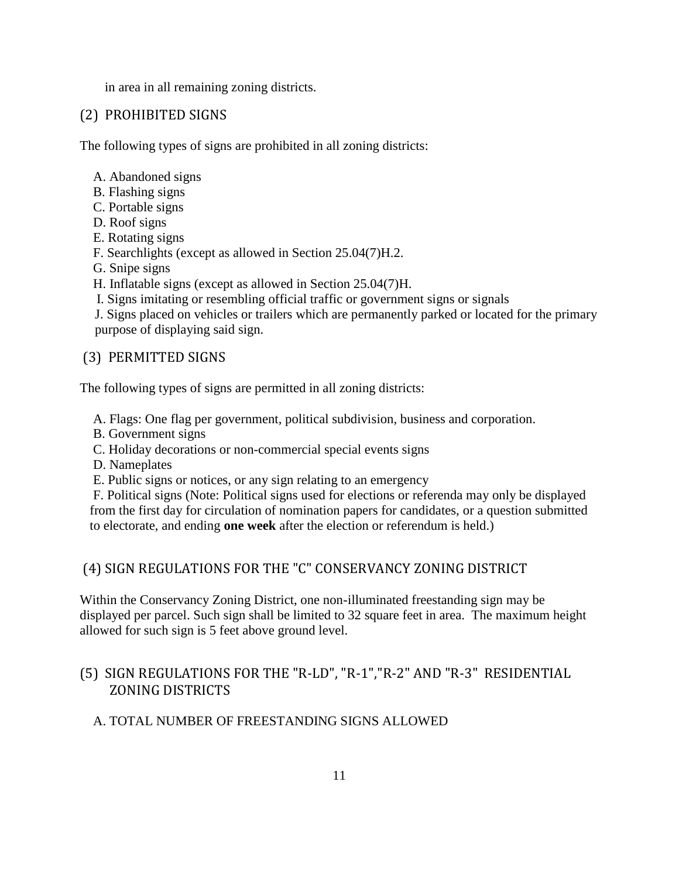in area in all remaining zoning districts.

# <span id="page-10-0"></span>(2) PROHIBITED SIGNS

The following types of signs are prohibited in all zoning districts:

- A. Abandoned signs
- B. Flashing signs
- C. Portable signs
- D. Roof signs
- E. Rotating signs
- F. Searchlights (except as allowed in Section 25.04(7)H.2.
- G. Snipe signs
- H. Inflatable signs (except as allowed in Section 25.04(7)H.
- I. Signs imitating or resembling official traffic or government signs or signals

J. Signs placed on vehicles or trailers which are permanently parked or located for the primary purpose of displaying said sign.

# <span id="page-10-1"></span>(3) PERMITTED SIGNS

The following types of signs are permitted in all zoning districts:

A. Flags: One flag per government, political subdivision, business and corporation.

- B. Government signs
- C. Holiday decorations or non-commercial special events signs
- D. Nameplates
- E. Public signs or notices, or any sign relating to an emergency

F. Political signs (Note: Political signs used for elections or referenda may only be displayed from the first day for circulation of nomination papers for candidates, or a question submitted to electorate, and ending **one week** after the election or referendum is held.)

# <span id="page-10-2"></span>(4) SIGN REGULATIONS FOR THE "C" CONSERVANCY ZONING DISTRICT

Within the Conservancy Zoning District, one non-illuminated freestanding sign may be displayed per parcel. Such sign shall be limited to 32 square feet in area. The maximum height allowed for such sign is 5 feet above ground level.

# <span id="page-10-3"></span>(5) SIGN REGULATIONS FOR THE "R-LD", "R-1","R-2" AND "R-3" RESIDENTIAL ZONING DISTRICTS

## A. TOTAL NUMBER OF FREESTANDING SIGNS ALLOWED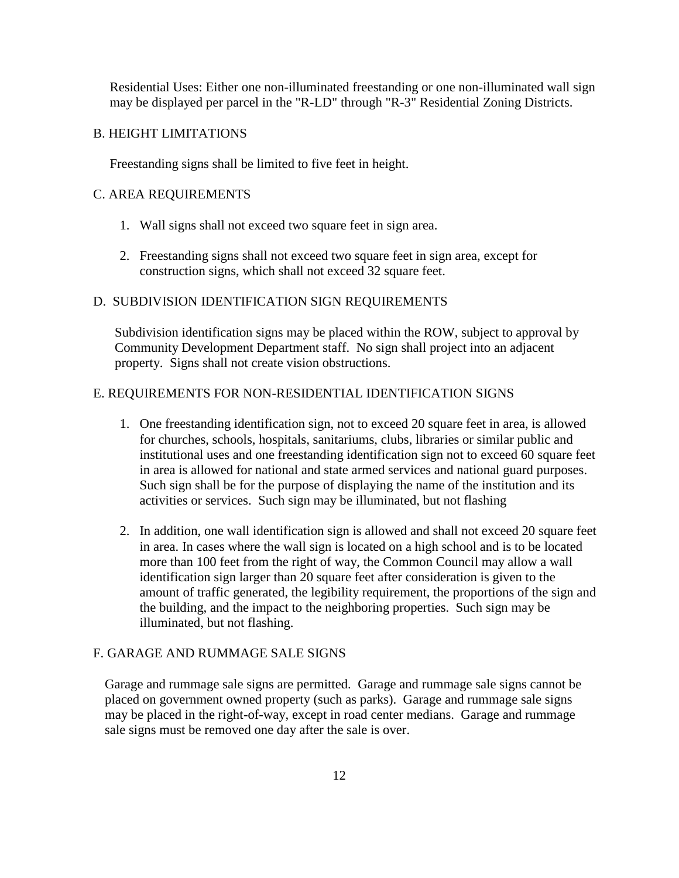Residential Uses: Either one non-illuminated freestanding or one non-illuminated wall sign may be displayed per parcel in the "R-LD" through "R-3" Residential Zoning Districts.

#### B. HEIGHT LIMITATIONS

Freestanding signs shall be limited to five feet in height.

#### C. AREA REQUIREMENTS

- 1. Wall signs shall not exceed two square feet in sign area.
- 2. Freestanding signs shall not exceed two square feet in sign area, except for construction signs, which shall not exceed 32 square feet.

#### D. SUBDIVISION IDENTIFICATION SIGN REQUIREMENTS

Subdivision identification signs may be placed within the ROW, subject to approval by Community Development Department staff. No sign shall project into an adjacent property. Signs shall not create vision obstructions.

### E. REQUIREMENTS FOR NON-RESIDENTIAL IDENTIFICATION SIGNS

- 1. One freestanding identification sign, not to exceed 20 square feet in area, is allowed for churches, schools, hospitals, sanitariums, clubs, libraries or similar public and institutional uses and one freestanding identification sign not to exceed 60 square feet in area is allowed for national and state armed services and national guard purposes. Such sign shall be for the purpose of displaying the name of the institution and its activities or services. Such sign may be illuminated, but not flashing
- 2. In addition, one wall identification sign is allowed and shall not exceed 20 square feet in area. In cases where the wall sign is located on a high school and is to be located more than 100 feet from the right of way, the Common Council may allow a wall identification sign larger than 20 square feet after consideration is given to the amount of traffic generated, the legibility requirement, the proportions of the sign and the building, and the impact to the neighboring properties. Such sign may be illuminated, but not flashing.

#### F. GARAGE AND RUMMAGE SALE SIGNS

Garage and rummage sale signs are permitted. Garage and rummage sale signs cannot be placed on government owned property (such as parks). Garage and rummage sale signs may be placed in the right-of-way, except in road center medians. Garage and rummage sale signs must be removed one day after the sale is over.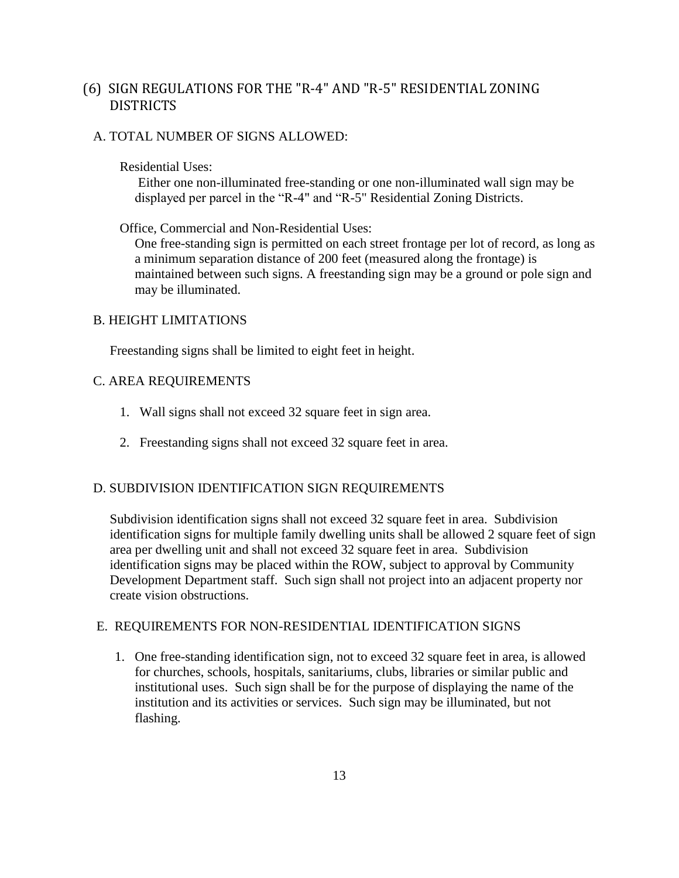# <span id="page-12-0"></span>(6) SIGN REGULATIONS FOR THE "R-4" AND "R-5" RESIDENTIAL ZONING **DISTRICTS**

## A. TOTAL NUMBER OF SIGNS ALLOWED:

#### Residential Uses:

Either one non-illuminated free-standing or one non-illuminated wall sign may be displayed per parcel in the "R-4" and "R-5" Residential Zoning Districts.

## Office, Commercial and Non-Residential Uses:

One free-standing sign is permitted on each street frontage per lot of record, as long as a minimum separation distance of 200 feet (measured along the frontage) is maintained between such signs. A freestanding sign may be a ground or pole sign and may be illuminated.

## B. HEIGHT LIMITATIONS

Freestanding signs shall be limited to eight feet in height.

## C. AREA REQUIREMENTS

- 1. Wall signs shall not exceed 32 square feet in sign area.
- 2. Freestanding signs shall not exceed 32 square feet in area.

## D. SUBDIVISION IDENTIFICATION SIGN REQUIREMENTS

Subdivision identification signs shall not exceed 32 square feet in area. Subdivision identification signs for multiple family dwelling units shall be allowed 2 square feet of sign area per dwelling unit and shall not exceed 32 square feet in area. Subdivision identification signs may be placed within the ROW, subject to approval by Community Development Department staff. Such sign shall not project into an adjacent property nor create vision obstructions.

#### E. REQUIREMENTS FOR NON-RESIDENTIAL IDENTIFICATION SIGNS

1. One free-standing identification sign, not to exceed 32 square feet in area, is allowed for churches, schools, hospitals, sanitariums, clubs, libraries or similar public and institutional uses. Such sign shall be for the purpose of displaying the name of the institution and its activities or services. Such sign may be illuminated, but not flashing.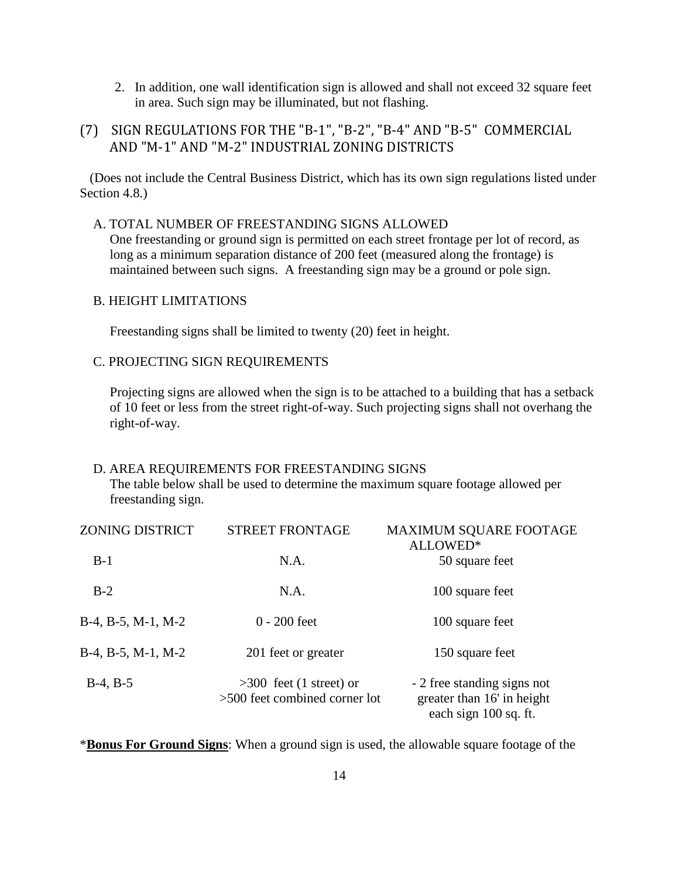- 2. In addition, one wall identification sign is allowed and shall not exceed 32 square feet in area. Such sign may be illuminated, but not flashing.
- <span id="page-13-0"></span>(7) SIGN REGULATIONS FOR THE "B-1", "B-2", "B-4" AND "B-5" COMMERCIAL AND "M-1" AND "M-2" INDUSTRIAL ZONING DISTRICTS

 (Does not include the Central Business District, which has its own sign regulations listed under Section 4.8.)

#### A. TOTAL NUMBER OF FREESTANDING SIGNS ALLOWED

One freestanding or ground sign is permitted on each street frontage per lot of record, as long as a minimum separation distance of 200 feet (measured along the frontage) is maintained between such signs. A freestanding sign may be a ground or pole sign.

## B. HEIGHT LIMITATIONS

Freestanding signs shall be limited to twenty (20) feet in height.

## C. PROJECTING SIGN REQUIREMENTS

Projecting signs are allowed when the sign is to be attached to a building that has a setback of 10 feet or less from the street right-of-way. Such projecting signs shall not overhang the right-of-way.

#### D. AREA REQUIREMENTS FOR FREESTANDING SIGNS

The table below shall be used to determine the maximum square footage allowed per freestanding sign.

| <b>ZONING DISTRICT</b>        | <b>STREET FRONTAGE</b>                                     | <b>MAXIMUM SQUARE FOOTAGE</b><br>ALLOWED*                                          |
|-------------------------------|------------------------------------------------------------|------------------------------------------------------------------------------------|
| $B-1$                         | N.A.                                                       | 50 square feet                                                                     |
| $B-2$                         | N.A.                                                       | 100 square feet                                                                    |
| $B-4$ , $B-5$ , $M-1$ , $M-2$ | $0 - 200$ feet                                             | 100 square feet                                                                    |
| $B-4$ , $B-5$ , $M-1$ , $M-2$ | 201 feet or greater                                        | 150 square feet                                                                    |
| $B-4, B-5$                    | $>300$ feet (1 street) or<br>>500 feet combined corner lot | - 2 free standing signs not<br>greater than 16' in height<br>each sign 100 sq. ft. |

\***Bonus For Ground Signs**: When a ground sign is used, the allowable square footage of the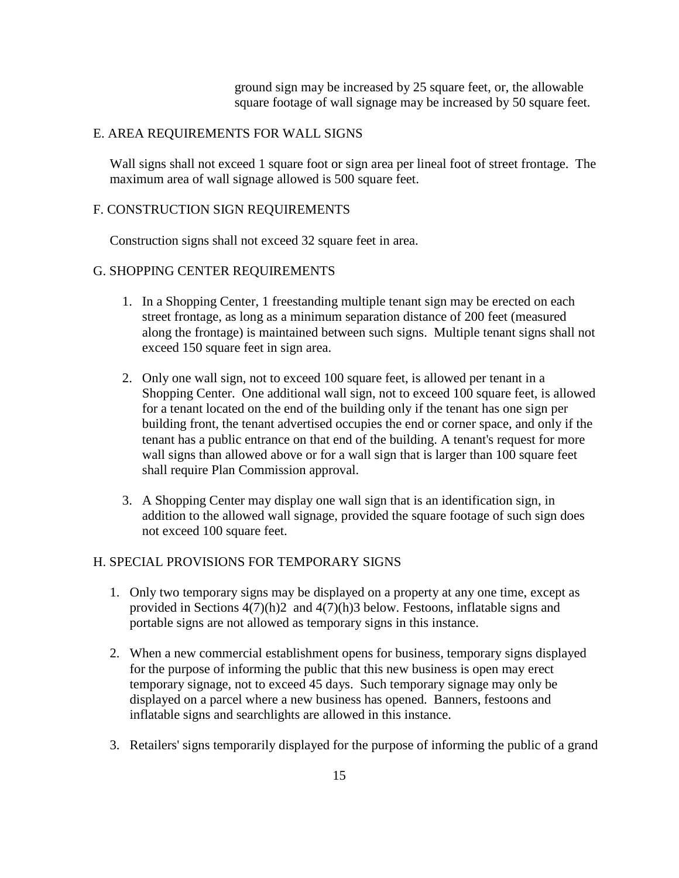ground sign may be increased by 25 square feet, or, the allowable square footage of wall signage may be increased by 50 square feet.

#### E. AREA REQUIREMENTS FOR WALL SIGNS

Wall signs shall not exceed 1 square foot or sign area per lineal foot of street frontage. The maximum area of wall signage allowed is 500 square feet.

## F. CONSTRUCTION SIGN REQUIREMENTS

Construction signs shall not exceed 32 square feet in area.

### G. SHOPPING CENTER REQUIREMENTS

- 1. In a Shopping Center, 1 freestanding multiple tenant sign may be erected on each street frontage, as long as a minimum separation distance of 200 feet (measured along the frontage) is maintained between such signs. Multiple tenant signs shall not exceed 150 square feet in sign area.
- 2. Only one wall sign, not to exceed 100 square feet, is allowed per tenant in a Shopping Center. One additional wall sign, not to exceed 100 square feet, is allowed for a tenant located on the end of the building only if the tenant has one sign per building front, the tenant advertised occupies the end or corner space, and only if the tenant has a public entrance on that end of the building. A tenant's request for more wall signs than allowed above or for a wall sign that is larger than 100 square feet shall require Plan Commission approval.
- 3. A Shopping Center may display one wall sign that is an identification sign, in addition to the allowed wall signage, provided the square footage of such sign does not exceed 100 square feet.

## H. SPECIAL PROVISIONS FOR TEMPORARY SIGNS

- 1. Only two temporary signs may be displayed on a property at any one time, except as provided in Sections 4(7)(h)2 and 4(7)(h)3 below. Festoons, inflatable signs and portable signs are not allowed as temporary signs in this instance.
- 2. When a new commercial establishment opens for business, temporary signs displayed for the purpose of informing the public that this new business is open may erect temporary signage, not to exceed 45 days. Such temporary signage may only be displayed on a parcel where a new business has opened. Banners, festoons and inflatable signs and searchlights are allowed in this instance.
- 3. Retailers' signs temporarily displayed for the purpose of informing the public of a grand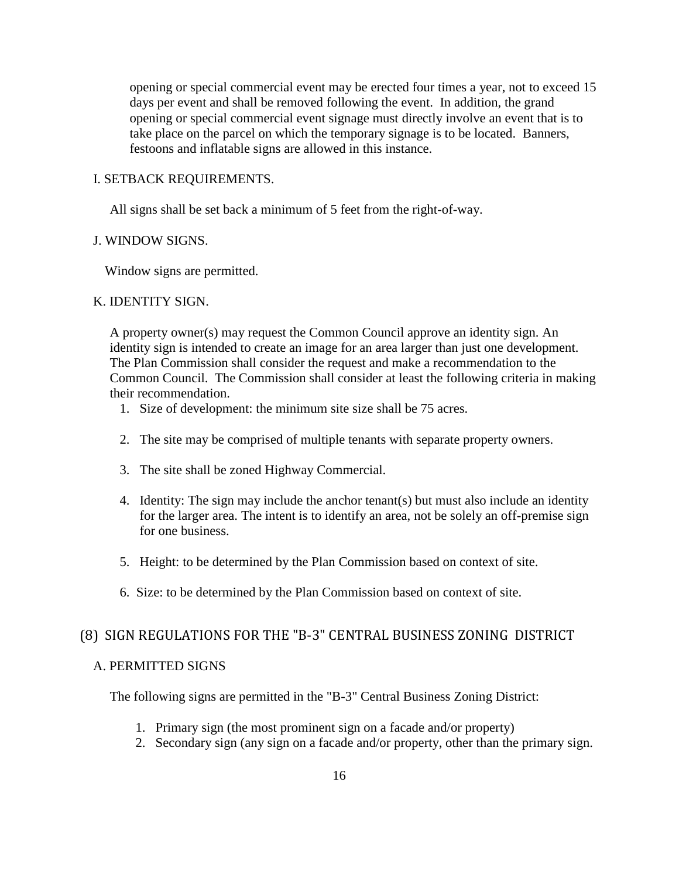opening or special commercial event may be erected four times a year, not to exceed 15 days per event and shall be removed following the event. In addition, the grand opening or special commercial event signage must directly involve an event that is to take place on the parcel on which the temporary signage is to be located. Banners, festoons and inflatable signs are allowed in this instance.

#### I. SETBACK REQUIREMENTS.

All signs shall be set back a minimum of 5 feet from the right-of-way.

#### J. WINDOW SIGNS.

Window signs are permitted.

#### K. IDENTITY SIGN.

A property owner(s) may request the Common Council approve an identity sign. An identity sign is intended to create an image for an area larger than just one development. The Plan Commission shall consider the request and make a recommendation to the Common Council. The Commission shall consider at least the following criteria in making their recommendation.

- 1. Size of development: the minimum site size shall be 75 acres.
- 2. The site may be comprised of multiple tenants with separate property owners.
- 3. The site shall be zoned Highway Commercial.
- 4. Identity: The sign may include the anchor tenant(s) but must also include an identity for the larger area. The intent is to identify an area, not be solely an off-premise sign for one business.
- 5. Height: to be determined by the Plan Commission based on context of site.
- 6. Size: to be determined by the Plan Commission based on context of site.

# <span id="page-15-0"></span>(8) SIGN REGULATIONS FOR THE "B-3" CENTRAL BUSINESS ZONING DISTRICT

## A. PERMITTED SIGNS

The following signs are permitted in the "B-3" Central Business Zoning District:

- 1. Primary sign (the most prominent sign on a facade and/or property)
- 2. Secondary sign (any sign on a facade and/or property, other than the primary sign.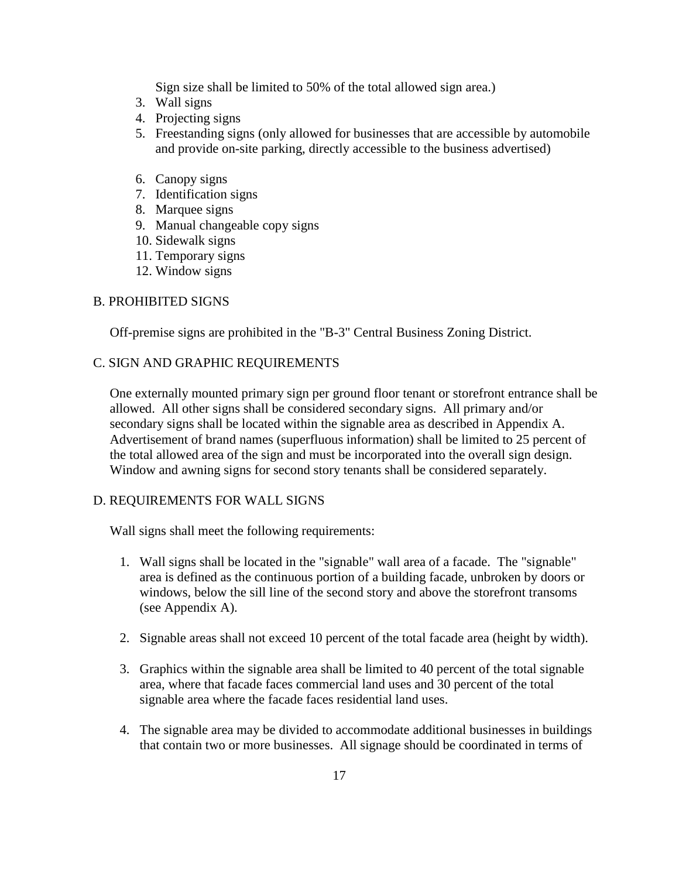Sign size shall be limited to 50% of the total allowed sign area.)

- 3. Wall signs
- 4. Projecting signs
- 5. Freestanding signs (only allowed for businesses that are accessible by automobile and provide on-site parking, directly accessible to the business advertised)
- 6. Canopy signs
- 7. Identification signs
- 8. Marquee signs
- 9. Manual changeable copy signs
- 10. Sidewalk signs
- 11. Temporary signs
- 12. Window signs

#### B. PROHIBITED SIGNS

Off-premise signs are prohibited in the "B-3" Central Business Zoning District.

#### C. SIGN AND GRAPHIC REQUIREMENTS

One externally mounted primary sign per ground floor tenant or storefront entrance shall be allowed. All other signs shall be considered secondary signs. All primary and/or secondary signs shall be located within the signable area as described in Appendix A. Advertisement of brand names (superfluous information) shall be limited to 25 percent of the total allowed area of the sign and must be incorporated into the overall sign design. Window and awning signs for second story tenants shall be considered separately.

#### D. REQUIREMENTS FOR WALL SIGNS

Wall signs shall meet the following requirements:

- 1. Wall signs shall be located in the "signable" wall area of a facade. The "signable" area is defined as the continuous portion of a building facade, unbroken by doors or windows, below the sill line of the second story and above the storefront transoms (see Appendix A).
- 2. Signable areas shall not exceed 10 percent of the total facade area (height by width).
- 3. Graphics within the signable area shall be limited to 40 percent of the total signable area, where that facade faces commercial land uses and 30 percent of the total signable area where the facade faces residential land uses.
- 4. The signable area may be divided to accommodate additional businesses in buildings that contain two or more businesses. All signage should be coordinated in terms of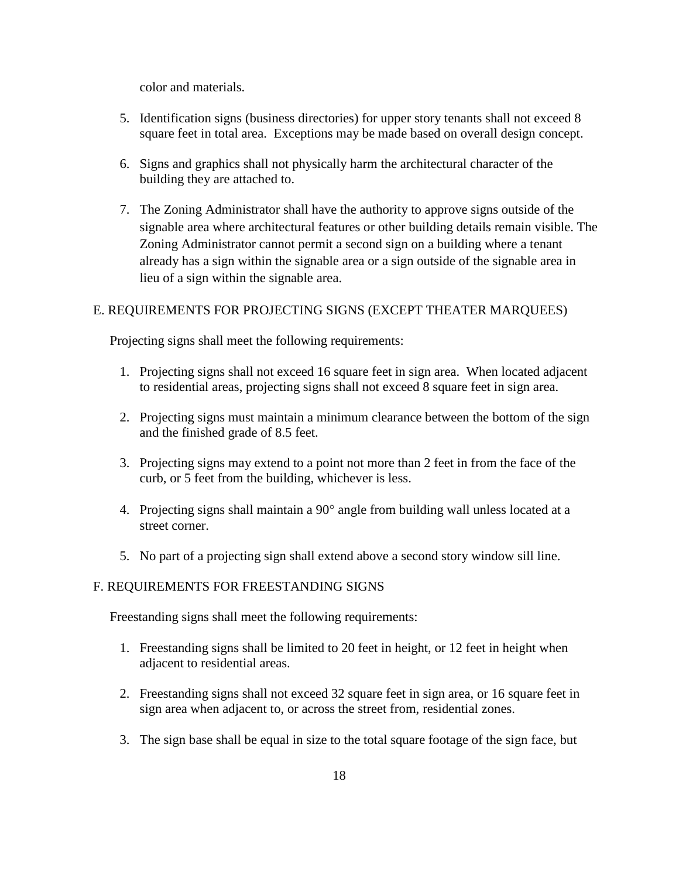color and materials.

- 5. Identification signs (business directories) for upper story tenants shall not exceed 8 square feet in total area. Exceptions may be made based on overall design concept.
- 6. Signs and graphics shall not physically harm the architectural character of the building they are attached to.
- 7. The Zoning Administrator shall have the authority to approve signs outside of the signable area where architectural features or other building details remain visible. The Zoning Administrator cannot permit a second sign on a building where a tenant already has a sign within the signable area or a sign outside of the signable area in lieu of a sign within the signable area.

#### E. REQUIREMENTS FOR PROJECTING SIGNS (EXCEPT THEATER MARQUEES)

Projecting signs shall meet the following requirements:

- 1. Projecting signs shall not exceed 16 square feet in sign area. When located adjacent to residential areas, projecting signs shall not exceed 8 square feet in sign area.
- 2. Projecting signs must maintain a minimum clearance between the bottom of the sign and the finished grade of 8.5 feet.
- 3. Projecting signs may extend to a point not more than 2 feet in from the face of the curb, or 5 feet from the building, whichever is less.
- 4. Projecting signs shall maintain a  $90^\circ$  angle from building wall unless located at a street corner.
- 5. No part of a projecting sign shall extend above a second story window sill line.

## F. REQUIREMENTS FOR FREESTANDING SIGNS

Freestanding signs shall meet the following requirements:

- 1. Freestanding signs shall be limited to 20 feet in height, or 12 feet in height when adjacent to residential areas.
- 2. Freestanding signs shall not exceed 32 square feet in sign area, or 16 square feet in sign area when adjacent to, or across the street from, residential zones.
- 3. The sign base shall be equal in size to the total square footage of the sign face, but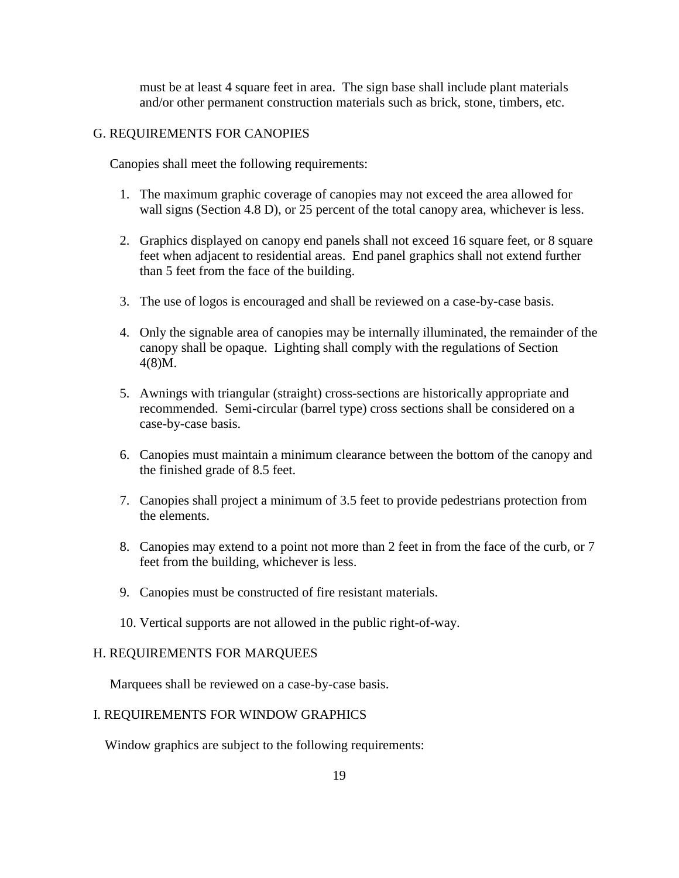must be at least 4 square feet in area. The sign base shall include plant materials and/or other permanent construction materials such as brick, stone, timbers, etc.

#### G. REQUIREMENTS FOR CANOPIES

Canopies shall meet the following requirements:

- 1. The maximum graphic coverage of canopies may not exceed the area allowed for wall signs (Section 4.8 D), or 25 percent of the total canopy area, whichever is less.
- 2. Graphics displayed on canopy end panels shall not exceed 16 square feet, or 8 square feet when adjacent to residential areas. End panel graphics shall not extend further than 5 feet from the face of the building.
- 3. The use of logos is encouraged and shall be reviewed on a case-by-case basis.
- 4. Only the signable area of canopies may be internally illuminated, the remainder of the canopy shall be opaque. Lighting shall comply with the regulations of Section 4(8)M.
- 5. Awnings with triangular (straight) cross-sections are historically appropriate and recommended. Semi-circular (barrel type) cross sections shall be considered on a case-by-case basis.
- 6. Canopies must maintain a minimum clearance between the bottom of the canopy and the finished grade of 8.5 feet.
- 7. Canopies shall project a minimum of 3.5 feet to provide pedestrians protection from the elements.
- 8. Canopies may extend to a point not more than 2 feet in from the face of the curb, or 7 feet from the building, whichever is less.
- 9. Canopies must be constructed of fire resistant materials.
- 10. Vertical supports are not allowed in the public right-of-way.

## H. REQUIREMENTS FOR MARQUEES

Marquees shall be reviewed on a case-by-case basis.

#### I. REQUIREMENTS FOR WINDOW GRAPHICS

Window graphics are subject to the following requirements: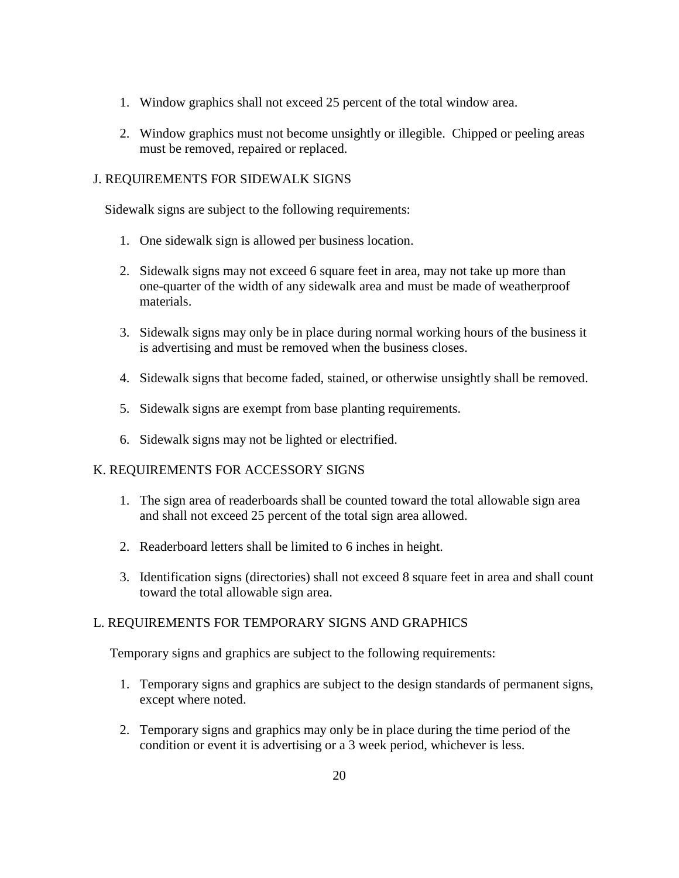- 1. Window graphics shall not exceed 25 percent of the total window area.
- 2. Window graphics must not become unsightly or illegible. Chipped or peeling areas must be removed, repaired or replaced.

### J. REQUIREMENTS FOR SIDEWALK SIGNS

Sidewalk signs are subject to the following requirements:

- 1. One sidewalk sign is allowed per business location.
- 2. Sidewalk signs may not exceed 6 square feet in area, may not take up more than one-quarter of the width of any sidewalk area and must be made of weatherproof materials.
- 3. Sidewalk signs may only be in place during normal working hours of the business it is advertising and must be removed when the business closes.
- 4. Sidewalk signs that become faded, stained, or otherwise unsightly shall be removed.
- 5. Sidewalk signs are exempt from base planting requirements.
- 6. Sidewalk signs may not be lighted or electrified.

## K. REQUIREMENTS FOR ACCESSORY SIGNS

- 1. The sign area of readerboards shall be counted toward the total allowable sign area and shall not exceed 25 percent of the total sign area allowed.
- 2. Readerboard letters shall be limited to 6 inches in height.
- 3. Identification signs (directories) shall not exceed 8 square feet in area and shall count toward the total allowable sign area.

## L. REQUIREMENTS FOR TEMPORARY SIGNS AND GRAPHICS

Temporary signs and graphics are subject to the following requirements:

- 1. Temporary signs and graphics are subject to the design standards of permanent signs, except where noted.
- 2. Temporary signs and graphics may only be in place during the time period of the condition or event it is advertising or a 3 week period, whichever is less.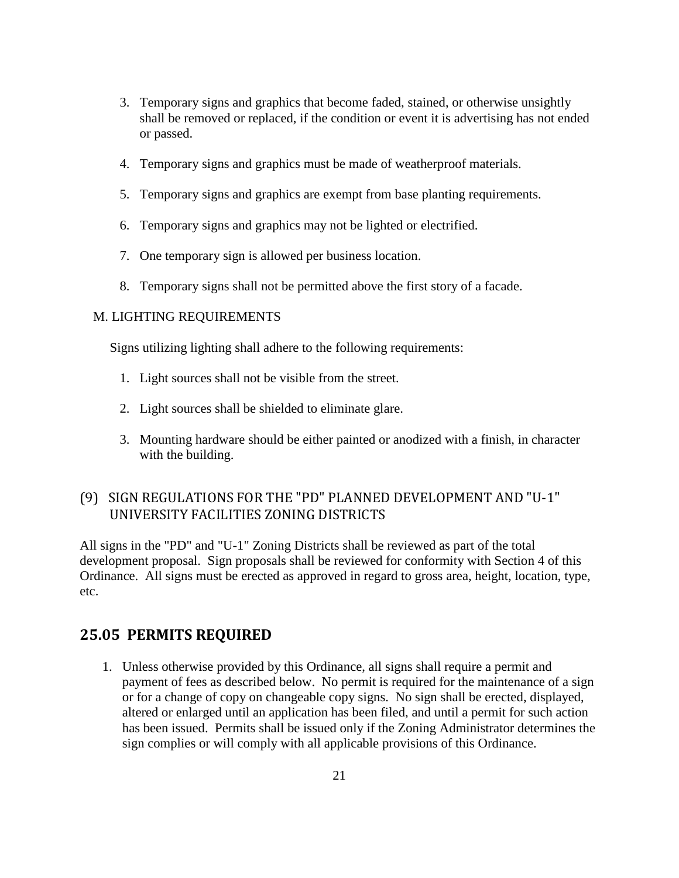- 3. Temporary signs and graphics that become faded, stained, or otherwise unsightly shall be removed or replaced, if the condition or event it is advertising has not ended or passed.
- 4. Temporary signs and graphics must be made of weatherproof materials.
- 5. Temporary signs and graphics are exempt from base planting requirements.
- 6. Temporary signs and graphics may not be lighted or electrified.
- 7. One temporary sign is allowed per business location.
- 8. Temporary signs shall not be permitted above the first story of a facade.

### M. LIGHTING REQUIREMENTS

Signs utilizing lighting shall adhere to the following requirements:

- 1. Light sources shall not be visible from the street.
- 2. Light sources shall be shielded to eliminate glare.
- 3. Mounting hardware should be either painted or anodized with a finish, in character with the building.

# <span id="page-20-0"></span>(9) SIGN REGULATIONS FOR THE "PD" PLANNED DEVELOPMENT AND "U-1" UNIVERSITY FACILITIES ZONING DISTRICTS

All signs in the "PD" and "U-1" Zoning Districts shall be reviewed as part of the total development proposal. Sign proposals shall be reviewed for conformity with Section 4 of this Ordinance. All signs must be erected as approved in regard to gross area, height, location, type, etc.

## <span id="page-20-1"></span>**25.05 PERMITS REQUIRED**

1. Unless otherwise provided by this Ordinance, all signs shall require a permit and payment of fees as described below. No permit is required for the maintenance of a sign or for a change of copy on changeable copy signs. No sign shall be erected, displayed, altered or enlarged until an application has been filed, and until a permit for such action has been issued. Permits shall be issued only if the Zoning Administrator determines the sign complies or will comply with all applicable provisions of this Ordinance.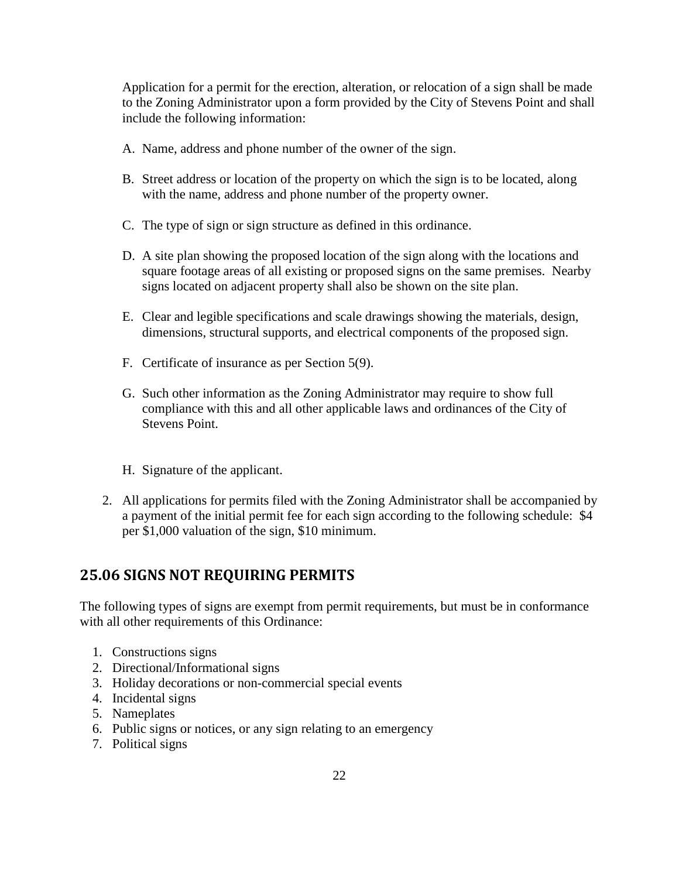Application for a permit for the erection, alteration, or relocation of a sign shall be made to the Zoning Administrator upon a form provided by the City of Stevens Point and shall include the following information:

- A. Name, address and phone number of the owner of the sign.
- B. Street address or location of the property on which the sign is to be located, along with the name, address and phone number of the property owner.
- C. The type of sign or sign structure as defined in this ordinance.
- D. A site plan showing the proposed location of the sign along with the locations and square footage areas of all existing or proposed signs on the same premises. Nearby signs located on adjacent property shall also be shown on the site plan.
- E. Clear and legible specifications and scale drawings showing the materials, design, dimensions, structural supports, and electrical components of the proposed sign.
- F. Certificate of insurance as per Section 5(9).
- G. Such other information as the Zoning Administrator may require to show full compliance with this and all other applicable laws and ordinances of the City of Stevens Point.
- H. Signature of the applicant.
- 2. All applications for permits filed with the Zoning Administrator shall be accompanied by a payment of the initial permit fee for each sign according to the following schedule: \$4 per \$1,000 valuation of the sign, \$10 minimum.

# <span id="page-21-0"></span>**25.06 SIGNS NOT REQUIRING PERMITS**

The following types of signs are exempt from permit requirements, but must be in conformance with all other requirements of this Ordinance:

- 1. Constructions signs
- 2. Directional/Informational signs
- 3. Holiday decorations or non-commercial special events
- 4. Incidental signs
- 5. Nameplates
- 6. Public signs or notices, or any sign relating to an emergency
- 7. Political signs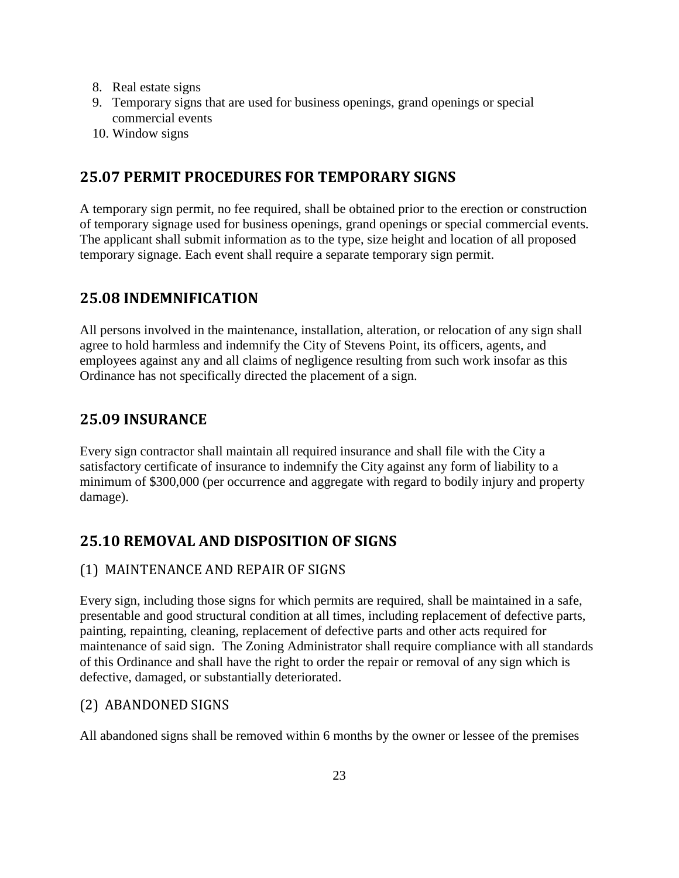- 8. Real estate signs
- 9. Temporary signs that are used for business openings, grand openings or special commercial events
- <span id="page-22-0"></span>10. Window signs

# **25.07 PERMIT PROCEDURES FOR TEMPORARY SIGNS**

A temporary sign permit, no fee required, shall be obtained prior to the erection or construction of temporary signage used for business openings, grand openings or special commercial events. The applicant shall submit information as to the type, size height and location of all proposed temporary signage. Each event shall require a separate temporary sign permit.

# <span id="page-22-1"></span>**25.08 INDEMNIFICATION**

All persons involved in the maintenance, installation, alteration, or relocation of any sign shall agree to hold harmless and indemnify the City of Stevens Point, its officers, agents, and employees against any and all claims of negligence resulting from such work insofar as this Ordinance has not specifically directed the placement of a sign.

# <span id="page-22-2"></span>**25.09 INSURANCE**

Every sign contractor shall maintain all required insurance and shall file with the City a satisfactory certificate of insurance to indemnify the City against any form of liability to a minimum of \$300,000 (per occurrence and aggregate with regard to bodily injury and property damage).

# <span id="page-22-3"></span>**25.10 REMOVAL AND DISPOSITION OF SIGNS**

## <span id="page-22-4"></span>(1) MAINTENANCE AND REPAIR OF SIGNS

Every sign, including those signs for which permits are required, shall be maintained in a safe, presentable and good structural condition at all times, including replacement of defective parts, painting, repainting, cleaning, replacement of defective parts and other acts required for maintenance of said sign. The Zoning Administrator shall require compliance with all standards of this Ordinance and shall have the right to order the repair or removal of any sign which is defective, damaged, or substantially deteriorated.

## <span id="page-22-5"></span>(2) ABANDONED SIGNS

All abandoned signs shall be removed within 6 months by the owner or lessee of the premises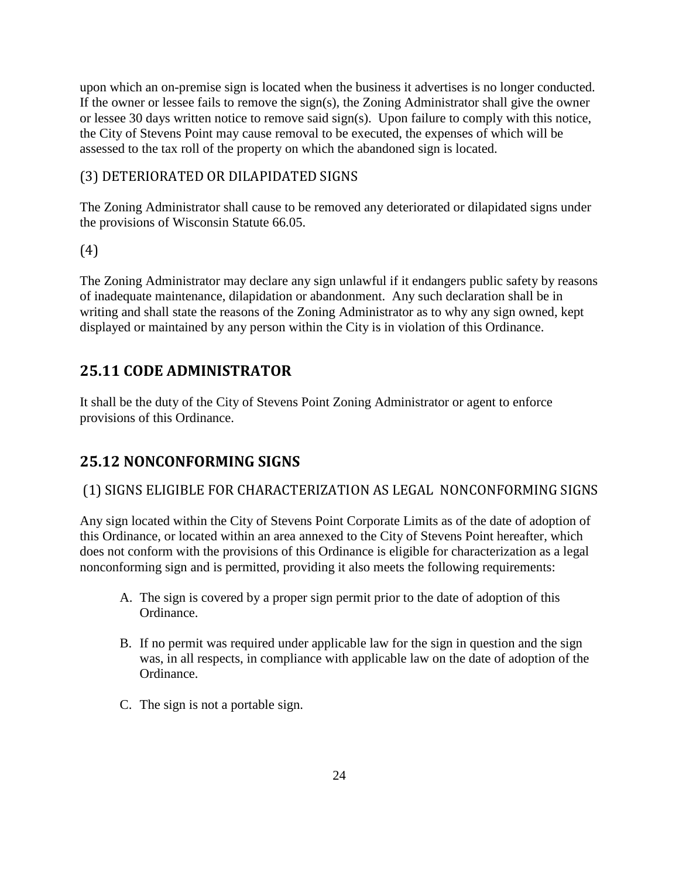upon which an on-premise sign is located when the business it advertises is no longer conducted. If the owner or lessee fails to remove the sign(s), the Zoning Administrator shall give the owner or lessee 30 days written notice to remove said sign(s). Upon failure to comply with this notice, the City of Stevens Point may cause removal to be executed, the expenses of which will be assessed to the tax roll of the property on which the abandoned sign is located.

# <span id="page-23-0"></span>(3) DETERIORATED OR DILAPIDATED SIGNS

The Zoning Administrator shall cause to be removed any deteriorated or dilapidated signs under the provisions of Wisconsin Statute 66.05.

# <span id="page-23-1"></span> $(4)$

The Zoning Administrator may declare any sign unlawful if it endangers public safety by reasons of inadequate maintenance, dilapidation or abandonment. Any such declaration shall be in writing and shall state the reasons of the Zoning Administrator as to why any sign owned, kept displayed or maintained by any person within the City is in violation of this Ordinance.

# <span id="page-23-2"></span>**25.11 CODE ADMINISTRATOR**

It shall be the duty of the City of Stevens Point Zoning Administrator or agent to enforce provisions of this Ordinance.

# <span id="page-23-3"></span>**25.12 NONCONFORMING SIGNS**

# <span id="page-23-4"></span>(1) SIGNS ELIGIBLE FOR CHARACTERIZATION AS LEGAL NONCONFORMING SIGNS

Any sign located within the City of Stevens Point Corporate Limits as of the date of adoption of this Ordinance, or located within an area annexed to the City of Stevens Point hereafter, which does not conform with the provisions of this Ordinance is eligible for characterization as a legal nonconforming sign and is permitted, providing it also meets the following requirements:

- A. The sign is covered by a proper sign permit prior to the date of adoption of this Ordinance.
- B. If no permit was required under applicable law for the sign in question and the sign was, in all respects, in compliance with applicable law on the date of adoption of the Ordinance.
- C. The sign is not a portable sign.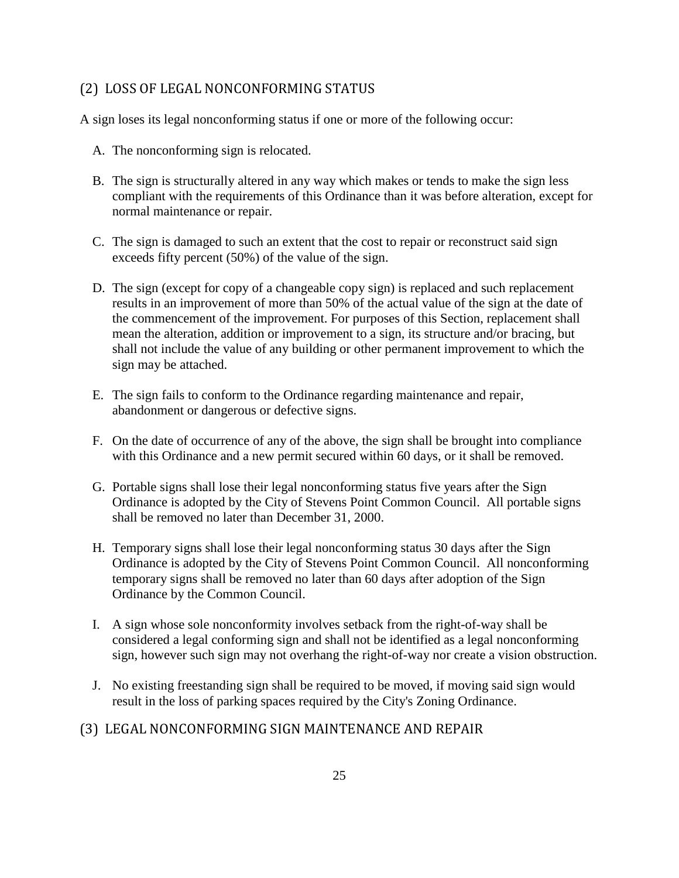## <span id="page-24-0"></span>(2) LOSS OF LEGAL NONCONFORMING STATUS

A sign loses its legal nonconforming status if one or more of the following occur:

- A. The nonconforming sign is relocated.
- B. The sign is structurally altered in any way which makes or tends to make the sign less compliant with the requirements of this Ordinance than it was before alteration, except for normal maintenance or repair.
- C. The sign is damaged to such an extent that the cost to repair or reconstruct said sign exceeds fifty percent (50%) of the value of the sign.
- D. The sign (except for copy of a changeable copy sign) is replaced and such replacement results in an improvement of more than 50% of the actual value of the sign at the date of the commencement of the improvement. For purposes of this Section, replacement shall mean the alteration, addition or improvement to a sign, its structure and/or bracing, but shall not include the value of any building or other permanent improvement to which the sign may be attached.
- E. The sign fails to conform to the Ordinance regarding maintenance and repair, abandonment or dangerous or defective signs.
- F. On the date of occurrence of any of the above, the sign shall be brought into compliance with this Ordinance and a new permit secured within 60 days, or it shall be removed.
- G. Portable signs shall lose their legal nonconforming status five years after the Sign Ordinance is adopted by the City of Stevens Point Common Council. All portable signs shall be removed no later than December 31, 2000.
- H. Temporary signs shall lose their legal nonconforming status 30 days after the Sign Ordinance is adopted by the City of Stevens Point Common Council. All nonconforming temporary signs shall be removed no later than 60 days after adoption of the Sign Ordinance by the Common Council.
- I. A sign whose sole nonconformity involves setback from the right-of-way shall be considered a legal conforming sign and shall not be identified as a legal nonconforming sign, however such sign may not overhang the right-of-way nor create a vision obstruction.
- J. No existing freestanding sign shall be required to be moved, if moving said sign would result in the loss of parking spaces required by the City's Zoning Ordinance.

## <span id="page-24-1"></span>(3) LEGAL NONCONFORMING SIGN MAINTENANCE AND REPAIR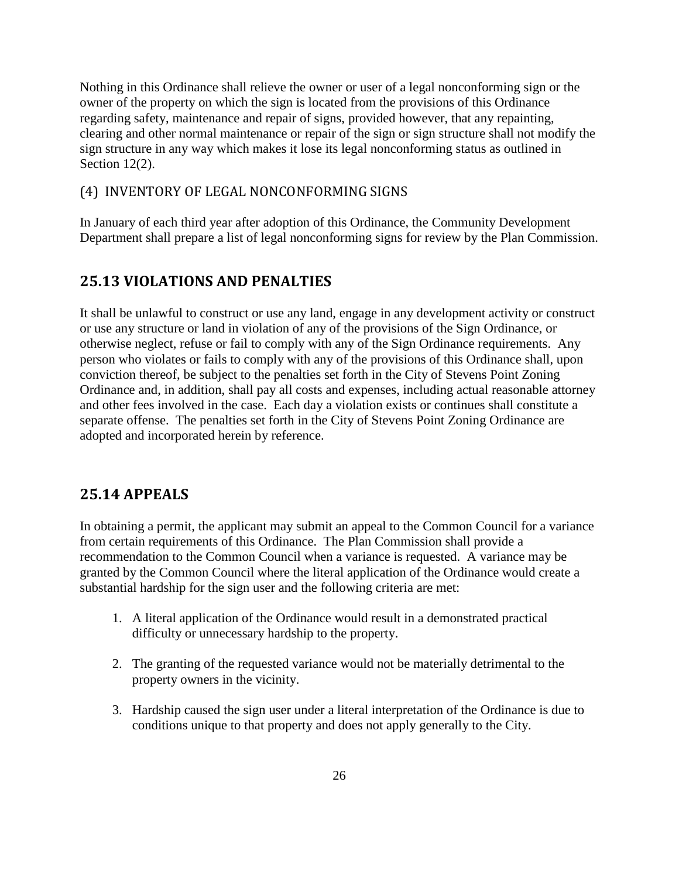Nothing in this Ordinance shall relieve the owner or user of a legal nonconforming sign or the owner of the property on which the sign is located from the provisions of this Ordinance regarding safety, maintenance and repair of signs, provided however, that any repainting, clearing and other normal maintenance or repair of the sign or sign structure shall not modify the sign structure in any way which makes it lose its legal nonconforming status as outlined in Section 12(2).

## <span id="page-25-0"></span>(4) INVENTORY OF LEGAL NONCONFORMING SIGNS

<span id="page-25-1"></span>In January of each third year after adoption of this Ordinance, the Community Development Department shall prepare a list of legal nonconforming signs for review by the Plan Commission.

## **25.13 VIOLATIONS AND PENALTIES**

It shall be unlawful to construct or use any land, engage in any development activity or construct or use any structure or land in violation of any of the provisions of the Sign Ordinance, or otherwise neglect, refuse or fail to comply with any of the Sign Ordinance requirements. Any person who violates or fails to comply with any of the provisions of this Ordinance shall, upon conviction thereof, be subject to the penalties set forth in the City of Stevens Point Zoning Ordinance and, in addition, shall pay all costs and expenses, including actual reasonable attorney and other fees involved in the case. Each day a violation exists or continues shall constitute a separate offense. The penalties set forth in the City of Stevens Point Zoning Ordinance are adopted and incorporated herein by reference.

# <span id="page-25-2"></span>**25.14 APPEALS**

In obtaining a permit, the applicant may submit an appeal to the Common Council for a variance from certain requirements of this Ordinance. The Plan Commission shall provide a recommendation to the Common Council when a variance is requested. A variance may be granted by the Common Council where the literal application of the Ordinance would create a substantial hardship for the sign user and the following criteria are met:

- 1. A literal application of the Ordinance would result in a demonstrated practical difficulty or unnecessary hardship to the property.
- 2. The granting of the requested variance would not be materially detrimental to the property owners in the vicinity.
- 3. Hardship caused the sign user under a literal interpretation of the Ordinance is due to conditions unique to that property and does not apply generally to the City.